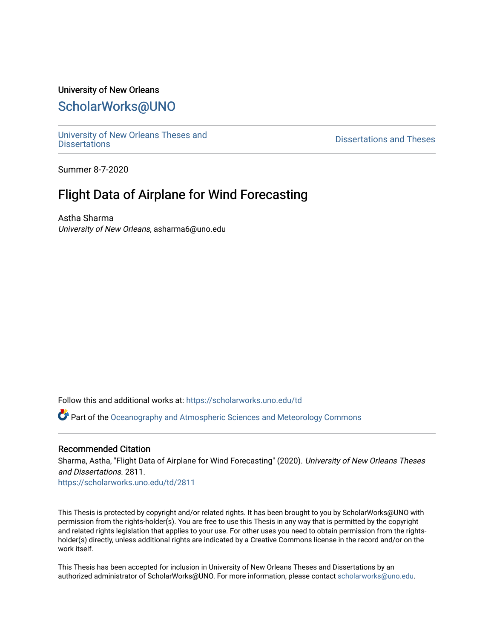# University of New Orleans [ScholarWorks@UNO](https://scholarworks.uno.edu/)

[University of New Orleans Theses and](https://scholarworks.uno.edu/td) 

[Dissertations](https://scholarworks.uno.edu/td) and Theses

Summer 8-7-2020

# Flight Data of Airplane for Wind Forecasting

Astha Sharma University of New Orleans, asharma6@uno.edu

Follow this and additional works at: [https://scholarworks.uno.edu/td](https://scholarworks.uno.edu/td?utm_source=scholarworks.uno.edu%2Ftd%2F2811&utm_medium=PDF&utm_campaign=PDFCoverPages)

Part of the [Oceanography and Atmospheric Sciences and Meteorology Commons](http://network.bepress.com/hgg/discipline/186?utm_source=scholarworks.uno.edu%2Ftd%2F2811&utm_medium=PDF&utm_campaign=PDFCoverPages)

#### Recommended Citation

Sharma, Astha, "Flight Data of Airplane for Wind Forecasting" (2020). University of New Orleans Theses and Dissertations. 2811.

[https://scholarworks.uno.edu/td/2811](https://scholarworks.uno.edu/td/2811?utm_source=scholarworks.uno.edu%2Ftd%2F2811&utm_medium=PDF&utm_campaign=PDFCoverPages)

This Thesis is protected by copyright and/or related rights. It has been brought to you by ScholarWorks@UNO with permission from the rights-holder(s). You are free to use this Thesis in any way that is permitted by the copyright and related rights legislation that applies to your use. For other uses you need to obtain permission from the rightsholder(s) directly, unless additional rights are indicated by a Creative Commons license in the record and/or on the work itself.

This Thesis has been accepted for inclusion in University of New Orleans Theses and Dissertations by an authorized administrator of ScholarWorks@UNO. For more information, please contact [scholarworks@uno.edu.](mailto:scholarworks@uno.edu)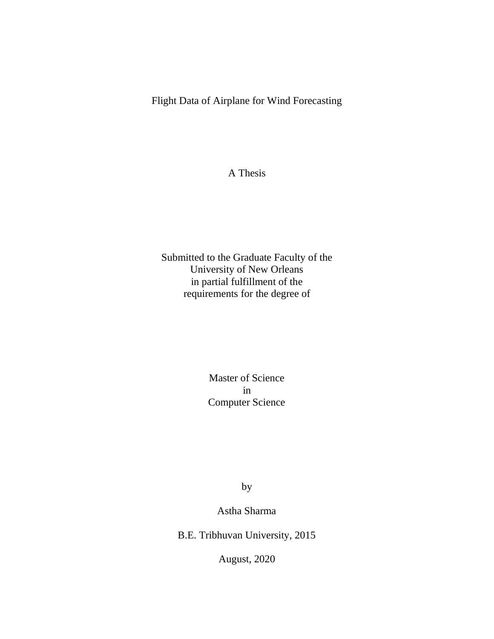Flight Data of Airplane for Wind Forecasting

A Thesis

Submitted to the Graduate Faculty of the University of New Orleans in partial fulfillment of the requirements for the degree of

> Master of Science in Computer Science

> > by

Astha Sharma

B.E. Tribhuvan University, 2015

August, 2020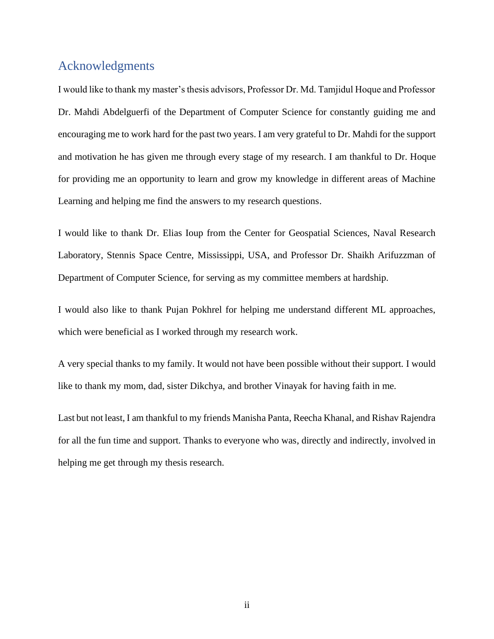## <span id="page-2-0"></span>Acknowledgments

I would like to thank my master's thesis advisors, Professor Dr. Md. Tamjidul Hoque and Professor Dr. Mahdi Abdelguerfi of the Department of Computer Science for constantly guiding me and encouraging me to work hard for the past two years. I am very grateful to Dr. Mahdi for the support and motivation he has given me through every stage of my research. I am thankful to Dr. Hoque for providing me an opportunity to learn and grow my knowledge in different areas of Machine Learning and helping me find the answers to my research questions.

I would like to thank Dr. Elias Ioup from the Center for Geospatial Sciences, Naval Research Laboratory, Stennis Space Centre, Mississippi, USA, and Professor Dr. Shaikh Arifuzzman of Department of Computer Science, for serving as my committee members at hardship.

I would also like to thank Pujan Pokhrel for helping me understand different ML approaches, which were beneficial as I worked through my research work.

A very special thanks to my family. It would not have been possible without their support. I would like to thank my mom, dad, sister Dikchya, and brother Vinayak for having faith in me.

Last but not least, I am thankful to my friends Manisha Panta, Reecha Khanal, and Rishav Rajendra for all the fun time and support. Thanks to everyone who was, directly and indirectly, involved in helping me get through my thesis research.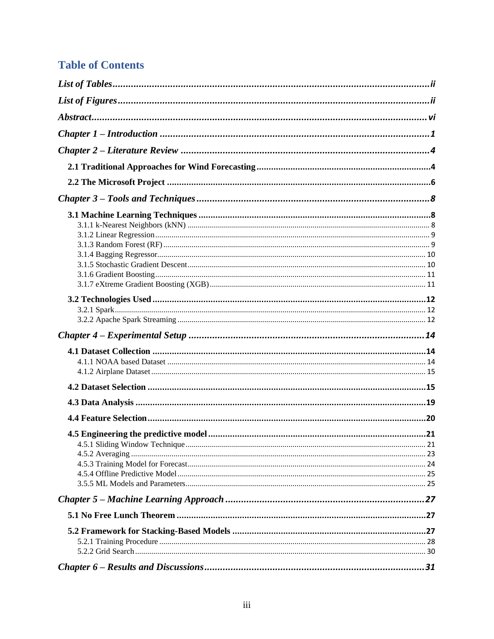# **Table of Contents**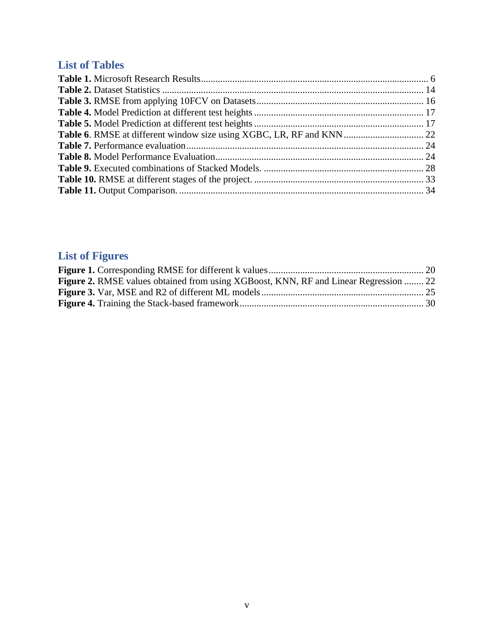# **List of Tables**

# **List of Figures**

| <b>Figure 2.</b> RMSE values obtained from using XGBoost, KNN, RF and Linear Regression  22 |  |
|---------------------------------------------------------------------------------------------|--|
|                                                                                             |  |
|                                                                                             |  |
|                                                                                             |  |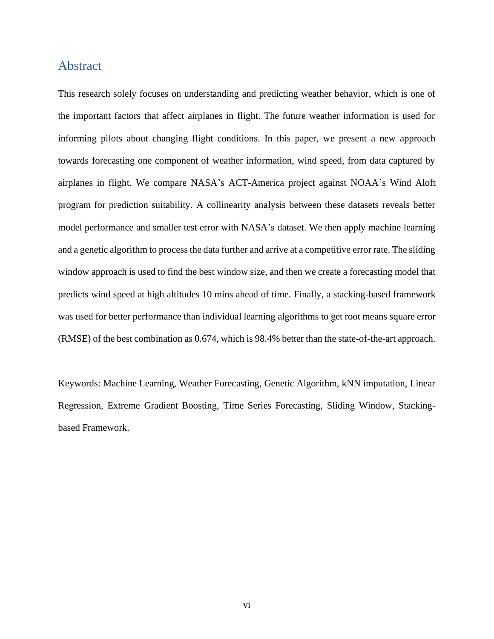### <span id="page-6-0"></span>Abstract

This research solely focuses on understanding and predicting weather behavior, which is one of the important factors that affect airplanes in flight. The future weather information is used for informing pilots about changing flight conditions. In this paper, we present a new approach towards forecasting one component of weather information, wind speed, from data captured by airplanes in flight. We compare NASA's ACT-America project against NOAA's Wind Aloft program for prediction suitability. A collinearity analysis between these datasets reveals better model performance and smaller test error with NASA's dataset. We then apply machine learning and a genetic algorithm to process the data further and arrive at a competitive error rate. The sliding window approach is used to find the best window size, and then we create a forecasting model that predicts wind speed at high altitudes 10 mins ahead of time. Finally, a stacking-based framework was used for better performance than individual learning algorithms to get root means square error (RMSE) of the best combination as 0.674, which is 98.4% better than the state-of-the-art approach.

Keywords: Machine Learning, Weather Forecasting, Genetic Algorithm, kNN imputation, Linear Regression, Extreme Gradient Boosting, Time Series Forecasting, Sliding Window, Stackingbased Framework.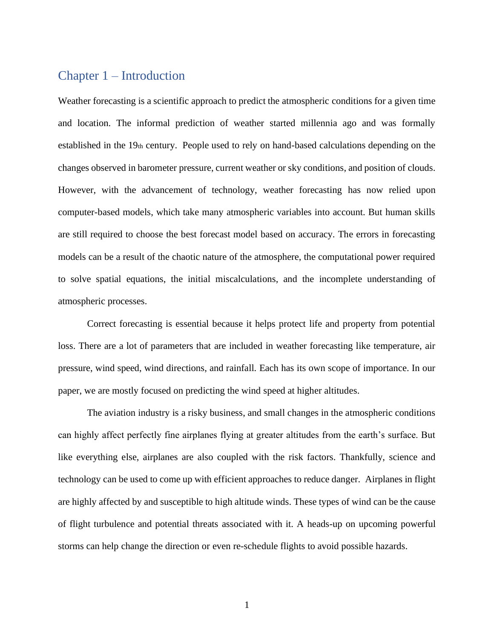### <span id="page-7-0"></span>Chapter 1 – Introduction

Weather forecasting is a scientific approach to predict the atmospheric conditions for a given time and location. The informal prediction of weather started millennia ago and was formally established in the 19th century. People used to rely on hand-based calculations depending on the changes observed in barometer pressure, current weather or sky conditions, and position of clouds. However, with the advancement of technology, weather forecasting has now relied upon computer-based models, which take many atmospheric variables into account. But human skills are still required to choose the best forecast model based on accuracy. The errors in forecasting models can be a result of the chaotic nature of the atmosphere, the computational power required to solve spatial equations, the initial miscalculations, and the incomplete understanding of atmospheric processes.

Correct forecasting is essential because it helps protect life and property from potential loss. There are a lot of parameters that are included in weather forecasting like temperature, air pressure, wind speed, wind directions, and rainfall. Each has its own scope of importance. In our paper, we are mostly focused on predicting the wind speed at higher altitudes.

The aviation industry is a risky business, and small changes in the atmospheric conditions can highly affect perfectly fine airplanes flying at greater altitudes from the earth's surface. But like everything else, airplanes are also coupled with the risk factors. Thankfully, science and technology can be used to come up with efficient approaches to reduce danger. Airplanes in flight are highly affected by and susceptible to high altitude winds. These types of wind can be the cause of flight turbulence and potential threats associated with it. A heads-up on upcoming powerful storms can help change the direction or even re-schedule flights to avoid possible hazards.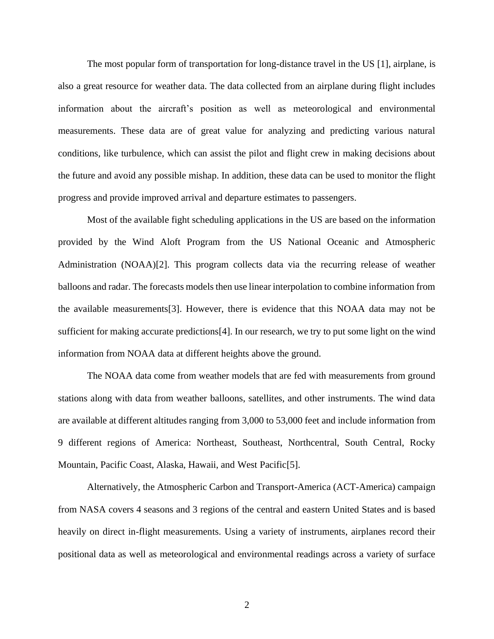The most popular form of transportation for long-distance travel in the US [1], airplane, is also a great resource for weather data. The data collected from an airplane during flight includes information about the aircraft's position as well as meteorological and environmental measurements. These data are of great value for analyzing and predicting various natural conditions, like turbulence, which can assist the pilot and flight crew in making decisions about the future and avoid any possible mishap. In addition, these data can be used to monitor the flight progress and provide improved arrival and departure estimates to passengers.

Most of the available fight scheduling applications in the US are based on the information provided by the Wind Aloft Program from the US National Oceanic and Atmospheric Administration (NOAA)[2]. This program collects data via the recurring release of weather balloons and radar. The forecasts models then use linear interpolation to combine information from the available measurements[3]. However, there is evidence that this NOAA data may not be sufficient for making accurate predictions[4]. In our research, we try to put some light on the wind information from NOAA data at different heights above the ground.

The NOAA data come from weather models that are fed with measurements from ground stations along with data from weather balloons, satellites, and other instruments. The wind data are available at different altitudes ranging from 3,000 to 53,000 feet and include information from 9 different regions of America: Northeast, Southeast, Northcentral, South Central, Rocky Mountain, Pacific Coast, Alaska, Hawaii, and West Pacific[5].

Alternatively, the Atmospheric Carbon and Transport-America (ACT-America) campaign from NASA covers 4 seasons and 3 regions of the central and eastern United States and is based heavily on direct in-flight measurements. Using a variety of instruments, airplanes record their positional data as well as meteorological and environmental readings across a variety of surface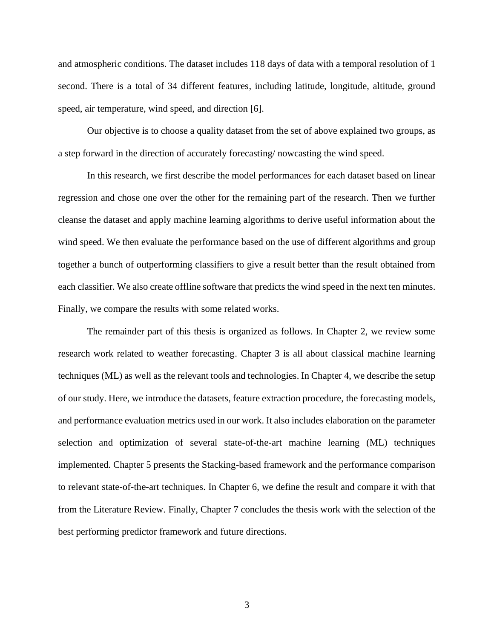and atmospheric conditions. The dataset includes 118 days of data with a temporal resolution of 1 second. There is a total of 34 different features, including latitude, longitude, altitude, ground speed, air temperature, wind speed, and direction [6].

Our objective is to choose a quality dataset from the set of above explained two groups, as a step forward in the direction of accurately forecasting/ nowcasting the wind speed.

In this research, we first describe the model performances for each dataset based on linear regression and chose one over the other for the remaining part of the research. Then we further cleanse the dataset and apply machine learning algorithms to derive useful information about the wind speed. We then evaluate the performance based on the use of different algorithms and group together a bunch of outperforming classifiers to give a result better than the result obtained from each classifier. We also create offline software that predicts the wind speed in the next ten minutes. Finally, we compare the results with some related works.

The remainder part of this thesis is organized as follows. In Chapter 2, we review some research work related to weather forecasting. Chapter 3 is all about classical machine learning techniques (ML) as well as the relevant tools and technologies. In Chapter 4, we describe the setup of our study. Here, we introduce the datasets, feature extraction procedure, the forecasting models, and performance evaluation metrics used in our work. It also includes elaboration on the parameter selection and optimization of several state-of-the-art machine learning (ML) techniques implemented. Chapter 5 presents the Stacking-based framework and the performance comparison to relevant state-of-the-art techniques. In Chapter 6, we define the result and compare it with that from the Literature Review. Finally, Chapter 7 concludes the thesis work with the selection of the best performing predictor framework and future directions.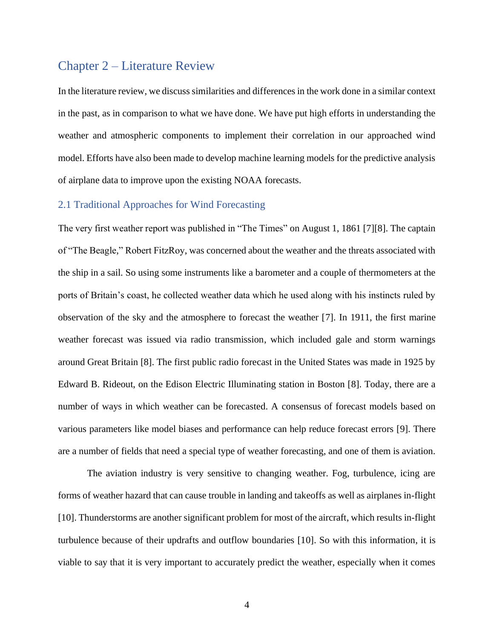# <span id="page-10-0"></span>Chapter 2 – Literature Review

In the literature review, we discuss similarities and differences in the work done in a similar context in the past, as in comparison to what we have done. We have put high efforts in understanding the weather and atmospheric components to implement their correlation in our approached wind model. Efforts have also been made to develop machine learning models for the predictive analysis of airplane data to improve upon the existing NOAA forecasts.

#### <span id="page-10-1"></span>2.1 Traditional Approaches for Wind Forecasting

The very first weather report was published in "The Times" on August 1, 1861 [7][8]. The captain of "The Beagle," Robert FitzRoy, was concerned about the weather and the threats associated with the ship in a sail. So using some instruments like a barometer and a couple of thermometers at the ports of Britain's coast, he collected weather data which he used along with his instincts ruled by observation of the sky and the atmosphere to forecast the weather [7]. In 1911, the first marine weather forecast was issued via radio transmission, which included gale and storm warnings around Great Britain [8]. The first public radio forecast in the United States was made in 1925 by Edward B. Rideout, on the Edison Electric Illuminating station in Boston [8]. Today, there are a number of ways in which weather can be forecasted. A consensus of forecast models based on various parameters like model biases and performance can help reduce forecast errors [9]. There are a number of fields that need a special type of weather forecasting, and one of them is aviation.

The aviation industry is very sensitive to changing weather. Fog, turbulence, icing are forms of weather hazard that can cause trouble in landing and takeoffs as well as airplanes in-flight [10]. Thunderstorms are another significant problem for most of the aircraft, which results in-flight turbulence because of their updrafts and outflow boundaries [10]. So with this information, it is viable to say that it is very important to accurately predict the weather, especially when it comes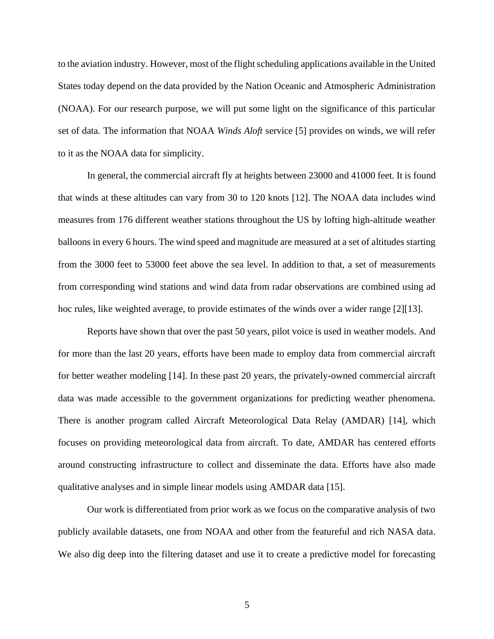to the aviation industry. However, most of the flight scheduling applications available in the United States today depend on the data provided by the Nation Oceanic and Atmospheric Administration (NOAA). For our research purpose, we will put some light on the significance of this particular set of data. The information that NOAA *Winds Aloft* service [5] provides on winds, we will refer to it as the NOAA data for simplicity.

In general, the commercial aircraft fly at heights between 23000 and 41000 feet. It is found that winds at these altitudes can vary from 30 to 120 knots [12]. The NOAA data includes wind measures from 176 different weather stations throughout the US by lofting high-altitude weather balloons in every 6 hours. The wind speed and magnitude are measured at a set of altitudes starting from the 3000 feet to 53000 feet above the sea level. In addition to that, a set of measurements from corresponding wind stations and wind data from radar observations are combined using ad hoc rules, like weighted average, to provide estimates of the winds over a wider range [2][13].

Reports have shown that over the past 50 years, pilot voice is used in weather models. And for more than the last 20 years, efforts have been made to employ data from commercial aircraft for better weather modeling [14]. In these past 20 years, the privately-owned commercial aircraft data was made accessible to the government organizations for predicting weather phenomena. There is another program called Aircraft Meteorological Data Relay (AMDAR) [14], which focuses on providing meteorological data from aircraft. To date, AMDAR has centered efforts around constructing infrastructure to collect and disseminate the data. Efforts have also made qualitative analyses and in simple linear models using AMDAR data [15].

Our work is differentiated from prior work as we focus on the comparative analysis of two publicly available datasets, one from NOAA and other from the featureful and rich NASA data. We also dig deep into the filtering dataset and use it to create a predictive model for forecasting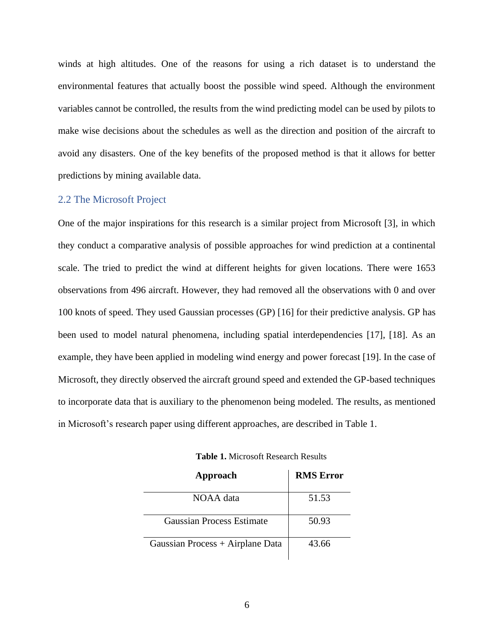winds at high altitudes. One of the reasons for using a rich dataset is to understand the environmental features that actually boost the possible wind speed. Although the environment variables cannot be controlled, the results from the wind predicting model can be used by pilots to make wise decisions about the schedules as well as the direction and position of the aircraft to avoid any disasters. One of the key benefits of the proposed method is that it allows for better predictions by mining available data.

#### <span id="page-12-0"></span>2.2 The Microsoft Project

One of the major inspirations for this research is a similar project from Microsoft [3], in which they conduct a comparative analysis of possible approaches for wind prediction at a continental scale. The tried to predict the wind at different heights for given locations. There were 1653 observations from 496 aircraft. However, they had removed all the observations with 0 and over 100 knots of speed. They used Gaussian processes (GP) [16] for their predictive analysis. GP has been used to model natural phenomena, including spatial interdependencies [17], [18]. As an example, they have been applied in modeling wind energy and power forecast [19]. In the case of Microsoft, they directly observed the aircraft ground speed and extended the GP-based techniques to incorporate data that is auxiliary to the phenomenon being modeled. The results, as mentioned in Microsoft's research paper using different approaches, are described in Table 1.

<span id="page-12-1"></span>

| Approach                         | <b>RMS</b> Error |
|----------------------------------|------------------|
| NOAA data                        | 51.53            |
| <b>Gaussian Process Estimate</b> | 50.93            |
| Gaussian Process + Airplane Data | 43.66            |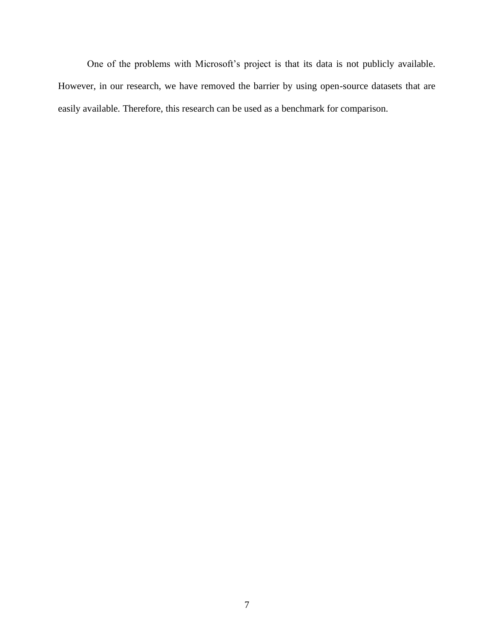One of the problems with Microsoft's project is that its data is not publicly available. However, in our research, we have removed the barrier by using open-source datasets that are easily available. Therefore, this research can be used as a benchmark for comparison.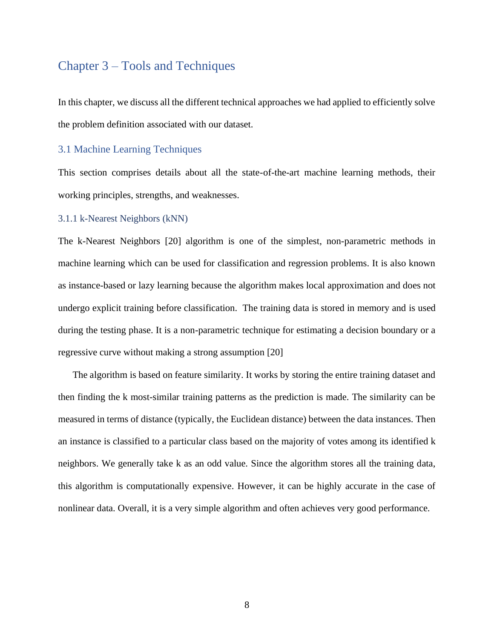# <span id="page-14-0"></span>Chapter 3 – Tools and Techniques

In this chapter, we discuss all the different technical approaches we had applied to efficiently solve the problem definition associated with our dataset.

#### <span id="page-14-1"></span>3.1 Machine Learning Techniques

This section comprises details about all the state-of-the-art machine learning methods, their working principles, strengths, and weaknesses.

#### <span id="page-14-2"></span>3.1.1 k-Nearest Neighbors (kNN)

The k-Nearest Neighbors [20] algorithm is one of the simplest, non-parametric methods in machine learning which can be used for classification and regression problems. It is also known as instance-based or lazy learning because the algorithm makes local approximation and does not undergo explicit training before classification. The training data is stored in memory and is used during the testing phase. It is a non-parametric technique for estimating a decision boundary or a regressive curve without making a strong assumption [20]

The algorithm is based on feature similarity. It works by storing the entire training dataset and then finding the k most-similar training patterns as the prediction is made. The similarity can be measured in terms of distance (typically, the Euclidean distance) between the data instances. Then an instance is classified to a particular class based on the majority of votes among its identified k neighbors. We generally take k as an odd value. Since the algorithm stores all the training data, this algorithm is computationally expensive. However, it can be highly accurate in the case of nonlinear data. Overall, it is a very simple algorithm and often achieves very good performance.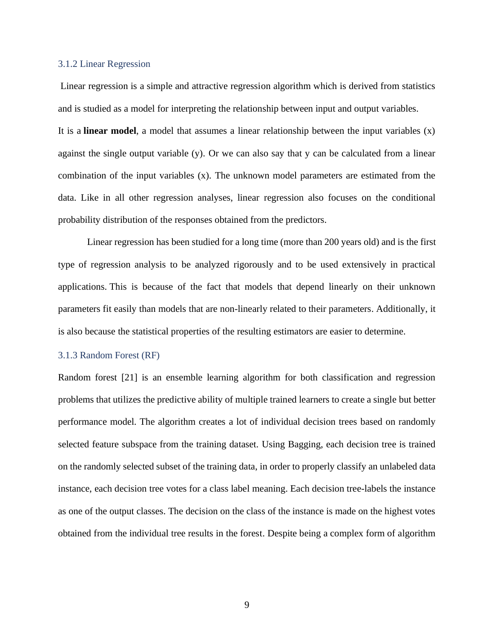#### <span id="page-15-0"></span>3.1.2 Linear Regression

Linear regression is a simple and attractive regression algorithm which is derived from statistics and is studied as a model for interpreting the relationship between input and output variables.

It is a **linear model**, a model that assumes a linear relationship between the input variables (x) against the single output variable  $(y)$ . Or we can also say that y can be calculated from a linear combination of the input variables (x). The unknown model parameters are estimated from the data. Like in all other regression analyses, linear regression also focuses on the conditional probability distribution of the responses obtained from the predictors.

Linear regression has been studied for a long time (more than 200 years old) and is the first type of regression analysis to be analyzed rigorously and to be used extensively in practical applications. This is because of the fact that models that depend linearly on their unknown parameters fit easily than models that are non-linearly related to their parameters. Additionally, it is also because the statistical properties of the resulting estimators are easier to determine.

#### <span id="page-15-1"></span>3.1.3 Random Forest (RF)

Random forest [21] is an ensemble learning algorithm for both classification and regression problems that utilizes the predictive ability of multiple trained learners to create a single but better performance model. The algorithm creates a lot of individual decision trees based on randomly selected feature subspace from the training dataset. Using Bagging, each decision tree is trained on the randomly selected subset of the training data, in order to properly classify an unlabeled data instance, each decision tree votes for a class label meaning. Each decision tree-labels the instance as one of the output classes. The decision on the class of the instance is made on the highest votes obtained from the individual tree results in the forest. Despite being a complex form of algorithm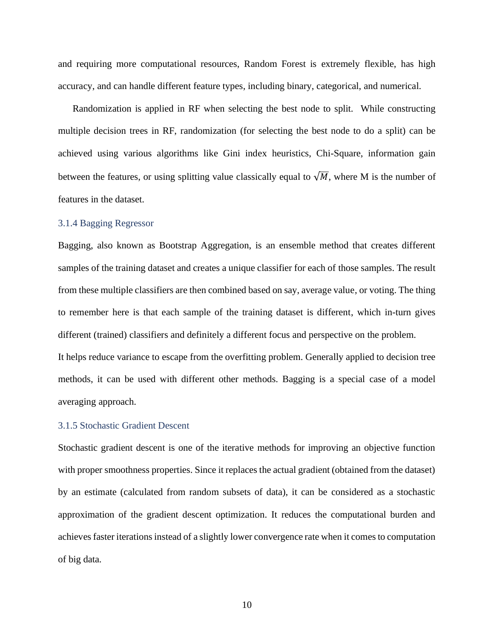and requiring more computational resources, Random Forest is extremely flexible, has high accuracy, and can handle different feature types, including binary, categorical, and numerical.

Randomization is applied in RF when selecting the best node to split. While constructing multiple decision trees in RF, randomization (for selecting the best node to do a split) can be achieved using various algorithms like Gini index heuristics, Chi-Square, information gain between the features, or using splitting value classically equal to  $\sqrt{M}$ , where M is the number of features in the dataset.

#### <span id="page-16-0"></span>3.1.4 Bagging Regressor

Bagging, also known as Bootstrap Aggregation, is an ensemble method that creates different samples of the training dataset and creates a unique classifier for each of those samples. The result from these multiple classifiers are then combined based on say, average value, or voting. The thing to remember here is that each sample of the training dataset is different, which in-turn gives different (trained) classifiers and definitely a different focus and perspective on the problem.

It helps reduce variance to escape from the overfitting problem. Generally applied to decision tree methods, it can be used with different other methods. Bagging is a special case of a model averaging approach.

#### <span id="page-16-1"></span>3.1.5 Stochastic Gradient Descent

Stochastic gradient descent is one of the iterative methods for improving an objective function with proper smoothness properties. Since it replaces the actual gradient (obtained from the dataset) by an estimate (calculated from random subsets of data), it can be considered as a stochastic approximation of the gradient descent optimization. It reduces the computational burden and achieves faster iterations instead of a slightly lower convergence rate when it comes to computation of big data.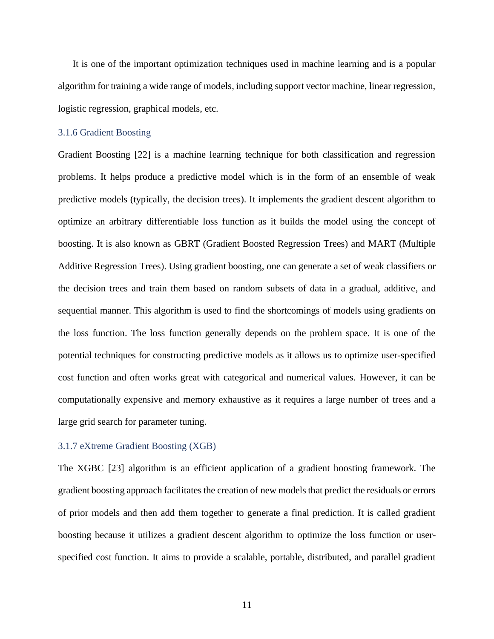It is one of the important optimization techniques used in machine learning and is a popular algorithm for training a wide range of models, including support vector machine, linear regression, logistic regression, graphical models, etc.

#### <span id="page-17-0"></span>3.1.6 Gradient Boosting

Gradient Boosting [22] is a machine learning technique for both classification and regression problems. It helps produce a predictive model which is in the form of an ensemble of weak predictive models (typically, the decision trees). It implements the gradient descent algorithm to optimize an arbitrary differentiable loss function as it builds the model using the concept of boosting. It is also known as GBRT (Gradient Boosted Regression Trees) and MART (Multiple Additive Regression Trees). Using gradient boosting, one can generate a set of weak classifiers or the decision trees and train them based on random subsets of data in a gradual, additive, and sequential manner. This algorithm is used to find the shortcomings of models using gradients on the loss function. The loss function generally depends on the problem space. It is one of the potential techniques for constructing predictive models as it allows us to optimize user-specified cost function and often works great with categorical and numerical values. However, it can be computationally expensive and memory exhaustive as it requires a large number of trees and a large grid search for parameter tuning.

#### <span id="page-17-1"></span>3.1.7 eXtreme Gradient Boosting (XGB)

The XGBC [23] algorithm is an efficient application of a gradient boosting framework. The gradient boosting approach facilitates the creation of new models that predict the residuals or errors of prior models and then add them together to generate a final prediction. It is called gradient boosting because it utilizes a gradient descent algorithm to optimize the loss function or userspecified cost function. It aims to provide a scalable, portable, distributed, and parallel gradient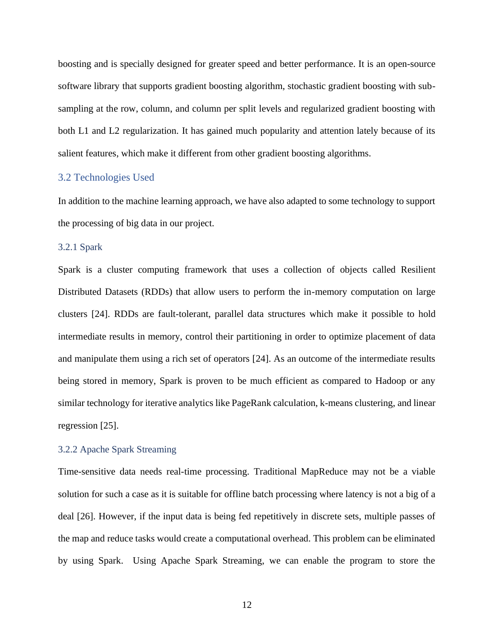boosting and is specially designed for greater speed and better performance. It is an open-source software library that supports gradient boosting algorithm, stochastic gradient boosting with subsampling at the row, column, and column per split levels and regularized gradient boosting with both L1 and L2 regularization. It has gained much popularity and attention lately because of its salient features, which make it different from other gradient boosting algorithms.

#### <span id="page-18-0"></span>3.2 Technologies Used

In addition to the machine learning approach, we have also adapted to some technology to support the processing of big data in our project.

#### <span id="page-18-1"></span>3.2.1 Spark

Spark is a cluster computing framework that uses a collection of objects called Resilient Distributed Datasets (RDDs) that allow users to perform the in-memory computation on large clusters [24]. RDDs are fault-tolerant, parallel data structures which make it possible to hold intermediate results in memory, control their partitioning in order to optimize placement of data and manipulate them using a rich set of operators [24]. As an outcome of the intermediate results being stored in memory, Spark is proven to be much efficient as compared to Hadoop or any similar technology for iterative analytics like PageRank calculation, k-means clustering, and linear regression [25].

#### <span id="page-18-2"></span>3.2.2 Apache Spark Streaming

Time-sensitive data needs real-time processing. Traditional MapReduce may not be a viable solution for such a case as it is suitable for offline batch processing where latency is not a big of a deal [26]. However, if the input data is being fed repetitively in discrete sets, multiple passes of the map and reduce tasks would create a computational overhead. This problem can be eliminated by using Spark. Using Apache Spark Streaming, we can enable the program to store the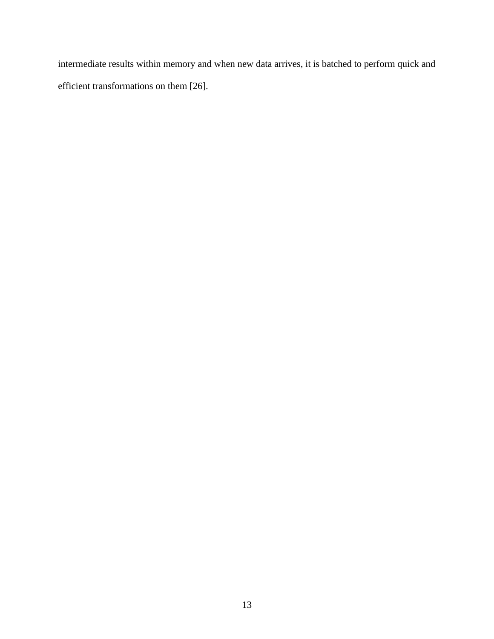intermediate results within memory and when new data arrives, it is batched to perform quick and efficient transformations on them [26].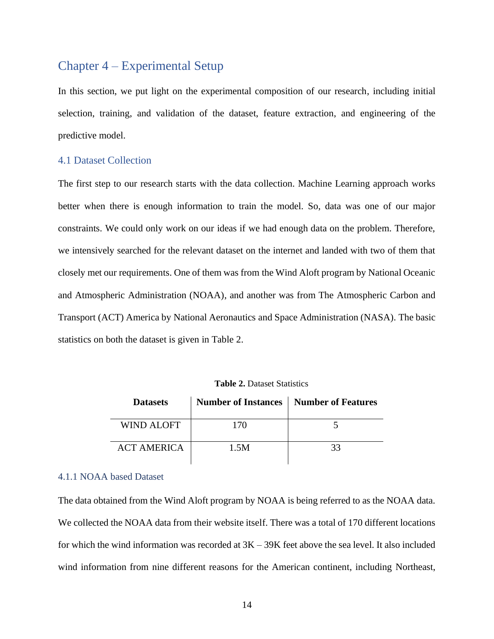# <span id="page-20-0"></span>Chapter 4 – Experimental Setup

In this section, we put light on the experimental composition of our research, including initial selection, training, and validation of the dataset, feature extraction, and engineering of the predictive model.

#### <span id="page-20-1"></span>4.1 Dataset Collection

The first step to our research starts with the data collection. Machine Learning approach works better when there is enough information to train the model. So, data was one of our major constraints. We could only work on our ideas if we had enough data on the problem. Therefore, we intensively searched for the relevant dataset on the internet and landed with two of them that closely met our requirements. One of them was from the Wind Aloft program by National Oceanic and Atmospheric Administration (NOAA), and another was from The Atmospheric Carbon and Transport (ACT) America by National Aeronautics and Space Administration (NASA). The basic statistics on both the dataset is given in Table 2.

<span id="page-20-3"></span>

| <b>Datasets</b>    | Number of Instances   Number of Features |    |
|--------------------|------------------------------------------|----|
| <b>WIND ALOFT</b>  | 170                                      |    |
| <b>ACT AMERICA</b> | 1.5M                                     | 33 |

**Table 2.** Dataset Statistics

#### <span id="page-20-2"></span>4.1.1 NOAA based Dataset

The data obtained from the Wind Aloft program by NOAA is being referred to as the NOAA data. We collected the NOAA data from their website itself. There was a total of 170 different locations for which the wind information was recorded at 3K – 39K feet above the sea level. It also included wind information from nine different reasons for the American continent, including Northeast,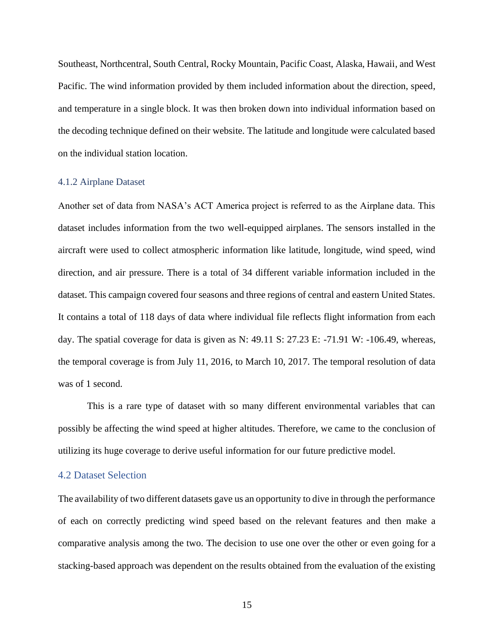Southeast, Northcentral, South Central, Rocky Mountain, Pacific Coast, Alaska, Hawaii, and West Pacific. The wind information provided by them included information about the direction, speed, and temperature in a single block. It was then broken down into individual information based on the decoding technique defined on their website. The latitude and longitude were calculated based on the individual station location.

#### <span id="page-21-0"></span>4.1.2 Airplane Dataset

Another set of data from NASA's ACT America project is referred to as the Airplane data. This dataset includes information from the two well-equipped airplanes. The sensors installed in the aircraft were used to collect atmospheric information like latitude, longitude, wind speed, wind direction, and air pressure. There is a total of 34 different variable information included in the dataset. This campaign covered four seasons and three regions of central and eastern United States. It contains a total of 118 days of data where individual file reflects flight information from each day. The spatial coverage for data is given as N: 49.11 S: 27.23 E: -71.91 W: -106.49, whereas, the temporal coverage is from July 11, 2016, to March 10, 2017. The temporal resolution of data was of 1 second.

This is a rare type of dataset with so many different environmental variables that can possibly be affecting the wind speed at higher altitudes. Therefore, we came to the conclusion of utilizing its huge coverage to derive useful information for our future predictive model.

#### <span id="page-21-1"></span>4.2 Dataset Selection

The availability of two different datasets gave us an opportunity to dive in through the performance of each on correctly predicting wind speed based on the relevant features and then make a comparative analysis among the two. The decision to use one over the other or even going for a stacking-based approach was dependent on the results obtained from the evaluation of the existing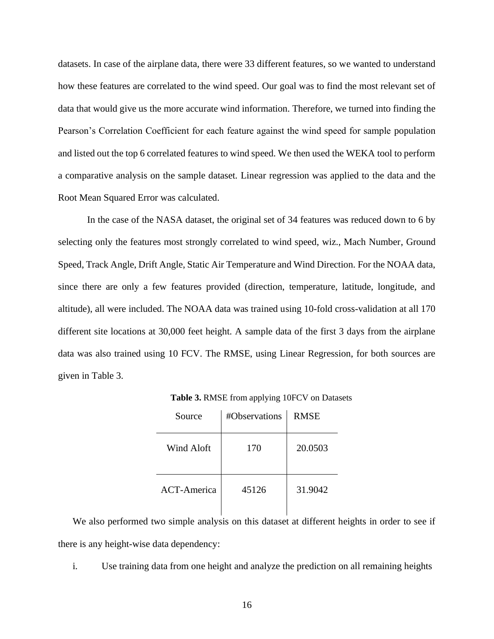datasets. In case of the airplane data, there were 33 different features, so we wanted to understand how these features are correlated to the wind speed. Our goal was to find the most relevant set of data that would give us the more accurate wind information. Therefore, we turned into finding the Pearson's Correlation Coefficient for each feature against the wind speed for sample population and listed out the top 6 correlated features to wind speed. We then used the WEKA tool to perform a comparative analysis on the sample dataset. Linear regression was applied to the data and the Root Mean Squared Error was calculated.

In the case of the NASA dataset, the original set of 34 features was reduced down to 6 by selecting only the features most strongly correlated to wind speed, wiz., Mach Number, Ground Speed, Track Angle, Drift Angle, Static Air Temperature and Wind Direction. For the NOAA data, since there are only a few features provided (direction, temperature, latitude, longitude, and altitude), all were included. The NOAA data was trained using 10-fold cross-validation at all 170 different site locations at 30,000 feet height. A sample data of the first 3 days from the airplane data was also trained using 10 FCV. The RMSE, using Linear Regression, for both sources are given in Table 3.

<span id="page-22-0"></span>

| Source             | #Observations | <b>RMSE</b> |
|--------------------|---------------|-------------|
| Wind Aloft         | 170           | 20.0503     |
| <b>ACT-America</b> | 45126         | 31.9042     |

**Table 3.** RMSE from applying 10FCV on Datasets

We also performed two simple analysis on this dataset at different heights in order to see if there is any height-wise data dependency:

i. Use training data from one height and analyze the prediction on all remaining heights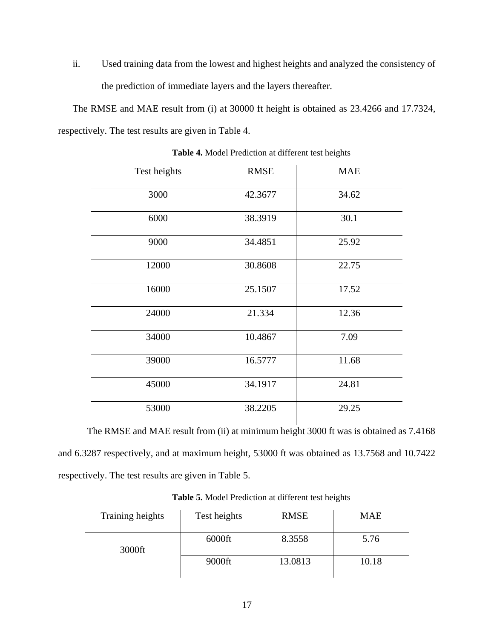ii. Used training data from the lowest and highest heights and analyzed the consistency of the prediction of immediate layers and the layers thereafter.

The RMSE and MAE result from (i) at 30000 ft height is obtained as 23.4266 and 17.7324, respectively. The test results are given in Table 4.

<span id="page-23-0"></span>

| Test heights | <b>RMSE</b> | <b>MAE</b> |
|--------------|-------------|------------|
| 3000         | 42.3677     | 34.62      |
| 6000         | 38.3919     | 30.1       |
| 9000         | 34.4851     | 25.92      |
| 12000        | 30.8608     | 22.75      |
| 16000        | 25.1507     | 17.52      |
| 24000        | 21.334      | 12.36      |
| 34000        | 10.4867     | 7.09       |
| 39000        | 16.5777     | 11.68      |
| 45000        | 34.1917     | 24.81      |
| 53000        | 38.2205     | 29.25      |

**Table 4.** Model Prediction at different test heights

The RMSE and MAE result from (ii) at minimum height 3000 ft was is obtained as 7.4168 and 6.3287 respectively, and at maximum height, 53000 ft was obtained as 13.7568 and 10.7422 respectively. The test results are given in Table 5.

<span id="page-23-1"></span>

| Training heights | Test heights | <b>RMSE</b> | <b>MAE</b> |
|------------------|--------------|-------------|------------|
| 3000ft           | $6000$ ft    | 8.3558      | 5.76       |
|                  | 9000ft       | 13.0813     | 10.18      |

**Table 5.** Model Prediction at different test heights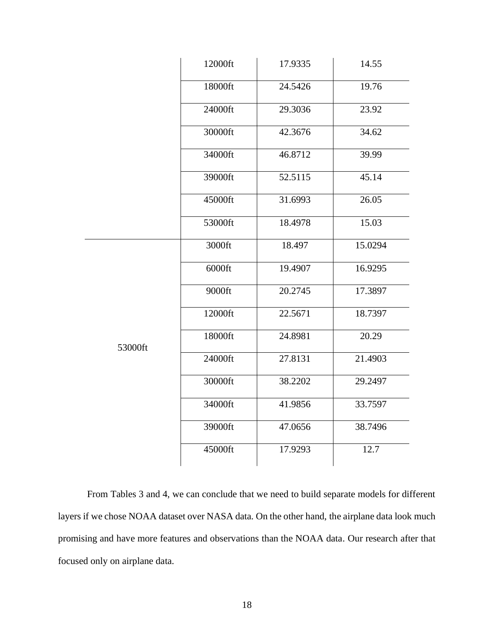|         | 12000ft | 17.9335 | 14.55   |
|---------|---------|---------|---------|
|         | 18000ft | 24.5426 | 19.76   |
|         | 24000ft | 29.3036 | 23.92   |
|         | 30000ft | 42.3676 | 34.62   |
|         | 34000ft | 46.8712 | 39.99   |
|         | 39000ft | 52.5115 | 45.14   |
|         | 45000ft | 31.6993 | 26.05   |
|         | 53000ft | 18.4978 | 15.03   |
|         | 3000ft  | 18.497  | 15.0294 |
|         | 6000ft  | 19.4907 | 16.9295 |
|         | 9000ft  | 20.2745 | 17.3897 |
|         | 12000ft | 22.5671 | 18.7397 |
| 53000ft | 18000ft | 24.8981 | 20.29   |
|         | 24000ft | 27.8131 | 21.4903 |
|         | 30000ft | 38.2202 | 29.2497 |
|         | 34000ft | 41.9856 | 33.7597 |
|         | 39000ft | 47.0656 | 38.7496 |
|         | 45000ft | 17.9293 | 12.7    |

From Tables 3 and 4, we can conclude that we need to build separate models for different layers if we chose NOAA dataset over NASA data. On the other hand, the airplane data look much promising and have more features and observations than the NOAA data. Our research after that focused only on airplane data.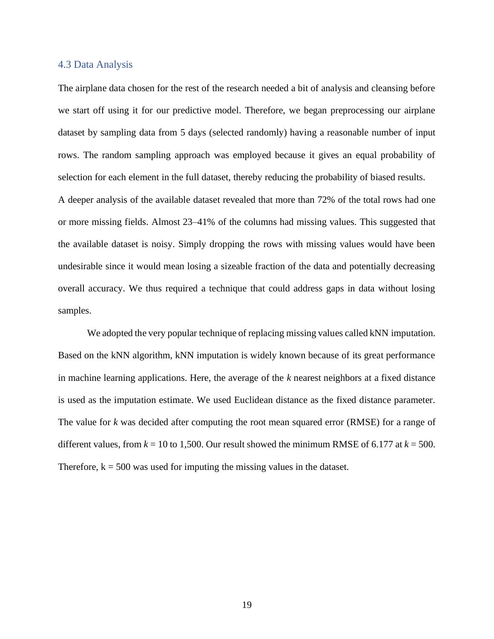#### <span id="page-25-0"></span>4.3 Data Analysis

The airplane data chosen for the rest of the research needed a bit of analysis and cleansing before we start off using it for our predictive model. Therefore, we began preprocessing our airplane dataset by sampling data from 5 days (selected randomly) having a reasonable number of input rows. The random sampling approach was employed because it gives an equal probability of selection for each element in the full dataset, thereby reducing the probability of biased results.

A deeper analysis of the available dataset revealed that more than 72% of the total rows had one or more missing fields. Almost 23–41% of the columns had missing values. This suggested that the available dataset is noisy. Simply dropping the rows with missing values would have been undesirable since it would mean losing a sizeable fraction of the data and potentially decreasing overall accuracy. We thus required a technique that could address gaps in data without losing samples.

We adopted the very popular technique of replacing missing values called kNN imputation. Based on the kNN algorithm, kNN imputation is widely known because of its great performance in machine learning applications. Here, the average of the *k* nearest neighbors at a fixed distance is used as the imputation estimate. We used Euclidean distance as the fixed distance parameter. The value for *k* was decided after computing the root mean squared error (RMSE) for a range of different values, from  $k = 10$  to 1,500. Our result showed the minimum RMSE of 6.177 at  $k = 500$ . Therefore,  $k = 500$  was used for imputing the missing values in the dataset.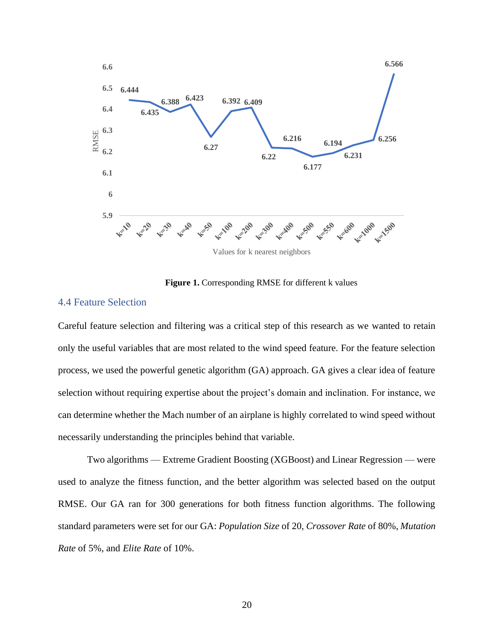

#### Figure 1. Corresponding RMSE for different k values

#### <span id="page-26-1"></span><span id="page-26-0"></span>4.4 Feature Selection

Careful feature selection and filtering was a critical step of this research as we wanted to retain only the useful variables that are most related to the wind speed feature. For the feature selection process, we used the powerful genetic algorithm (GA) approach. GA gives a clear idea of feature selection without requiring expertise about the project's domain and inclination. For instance, we can determine whether the Mach number of an airplane is highly correlated to wind speed without necessarily understanding the principles behind that variable.

Two algorithms — Extreme Gradient Boosting (XGBoost) and Linear Regression — were used to analyze the fitness function, and the better algorithm was selected based on the output RMSE. Our GA ran for 300 generations for both fitness function algorithms. The following standard parameters were set for our GA: *Population Size* of 20, *Crossover Rate* of 80%, *Mutation Rate* of 5%, and *Elite Rate* of 10%.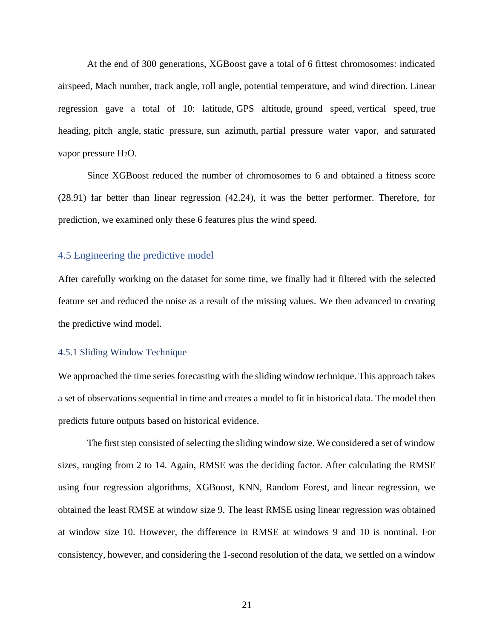At the end of 300 generations, XGBoost gave a total of 6 fittest chromosomes: indicated airspeed, Mach number, track angle, roll angle, potential temperature, and wind direction. Linear regression gave a total of 10: latitude, GPS altitude, ground speed, vertical speed, true heading, pitch angle, static pressure, sun azimuth, partial pressure water vapor, and saturated vapor pressure H2O.

Since XGBoost reduced the number of chromosomes to 6 and obtained a fitness score (28.91) far better than linear regression (42.24), it was the better performer. Therefore, for prediction, we examined only these 6 features plus the wind speed.

#### <span id="page-27-0"></span>4.5 Engineering the predictive model

After carefully working on the dataset for some time, we finally had it filtered with the selected feature set and reduced the noise as a result of the missing values. We then advanced to creating the predictive wind model.

#### <span id="page-27-1"></span>4.5.1 Sliding Window Technique

We approached the time series forecasting with the sliding window technique. This approach takes a set of observations sequential in time and creates a model to fit in historical data. The model then predicts future outputs based on historical evidence.

The first step consisted of selecting the sliding window size. We considered a set of window sizes, ranging from 2 to 14. Again, RMSE was the deciding factor. After calculating the RMSE using four regression algorithms, XGBoost, KNN, Random Forest, and linear regression, we obtained the least RMSE at window size 9. The least RMSE using linear regression was obtained at window size 10. However, the difference in RMSE at windows 9 and 10 is nominal. For consistency, however, and considering the 1-second resolution of the data, we settled on a window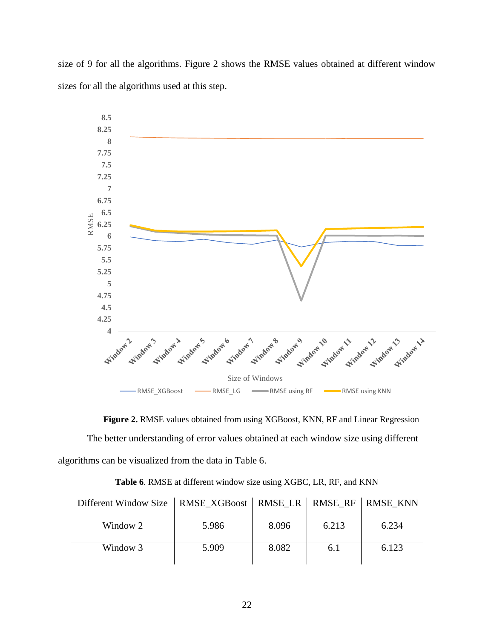size of 9 for all the algorithms. Figure 2 shows the RMSE values obtained at different window sizes for all the algorithms used at this step.



<span id="page-28-1"></span>**Figure 2.** RMSE values obtained from using XGBoost, KNN, RF and Linear Regression The better understanding of error values obtained at each window size using different algorithms can be visualized from the data in Table 6.

<span id="page-28-0"></span>

| Different Window Size   RMSE_XGBoost   RMSE_LR   RMSE_RF   RMSE_KNN |       |       |       |       |
|---------------------------------------------------------------------|-------|-------|-------|-------|
| Window 2                                                            | 5.986 | 8.096 | 6.213 | 6.234 |
| Window 3                                                            | 5.909 | 8.082 | 6.1   | 6.123 |

**Table 6**. RMSE at different window size using XGBC, LR, RF, and KNN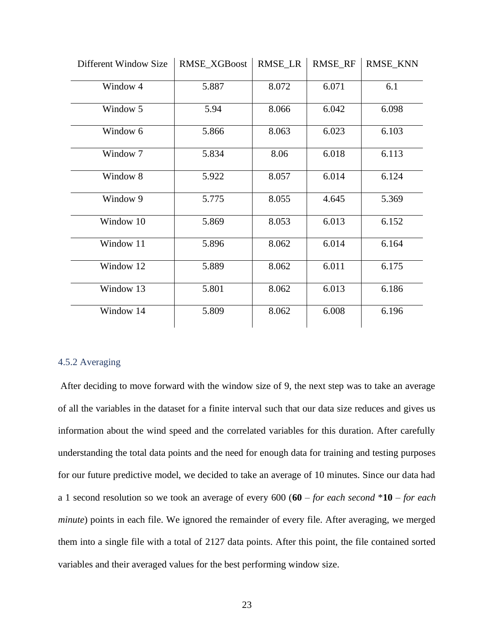| DITTerent Window Size | <b>RNISE AUBOOST</b> | KMSE LK | KMSE KF | KMSE KNN |
|-----------------------|----------------------|---------|---------|----------|
| Window 4              | 5.887                | 8.072   | 6.071   | 6.1      |
| Window 5              | 5.94                 | 8.066   | 6.042   | 6.098    |
| Window 6              | 5.866                | 8.063   | 6.023   | 6.103    |
| Window 7              | 5.834                | 8.06    | 6.018   | 6.113    |
| Window 8              | 5.922                | 8.057   | 6.014   | 6.124    |
| Window 9              | 5.775                | 8.055   | 4.645   | 5.369    |
| Window 10             | 5.869                | 8.053   | 6.013   | 6.152    |
| Window 11             | 5.896                | 8.062   | 6.014   | 6.164    |
| Window 12             | 5.889                | 8.062   | 6.011   | 6.175    |
| Window 13             | 5.801                | 8.062   | 6.013   | 6.186    |
| Window 14             | 5.809                | 8.062   | 6.008   | 6.196    |

 $\text{Diff}_{\text{SUS}}$  Window Size RMSE\_VGBoost RMSE\_LB RMSE\_RF RMSE\_KNN

#### <span id="page-29-0"></span>4.5.2 Averaging

After deciding to move forward with the window size of 9, the next step was to take an average of all the variables in the dataset for a finite interval such that our data size reduces and gives us information about the wind speed and the correlated variables for this duration. After carefully understanding the total data points and the need for enough data for training and testing purposes for our future predictive model, we decided to take an average of 10 minutes. Since our data had a 1 second resolution so we took an average of every 600 (**60** *– for each second* \***10** *– for each minute*) points in each file. We ignored the remainder of every file. After averaging, we merged them into a single file with a total of 2127 data points. After this point, the file contained sorted variables and their averaged values for the best performing window size.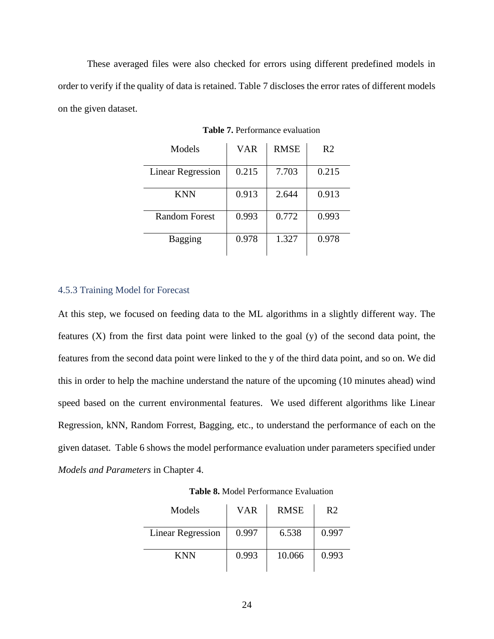<span id="page-30-1"></span>These averaged files were also checked for errors using different predefined models in order to verify if the quality of data is retained. Table 7 discloses the error rates of different models on the given dataset.

| Models                   | <b>VAR</b> | <b>RMSE</b> | R <sub>2</sub> |
|--------------------------|------------|-------------|----------------|
| <b>Linear Regression</b> | 0.215      | 7.703       | 0.215          |
| <b>KNN</b>               | 0.913      | 2.644       | 0.913          |
| Random Forest            | 0.993      | 0.772       | 0.993          |
| <b>Bagging</b>           | 0.978      | 1.327       | 0.978          |

**Table 7.** Performance evaluation

#### <span id="page-30-0"></span>4.5.3 Training Model for Forecast

At this step, we focused on feeding data to the ML algorithms in a slightly different way. The features (X) from the first data point were linked to the goal (y) of the second data point, the features from the second data point were linked to the y of the third data point, and so on. We did this in order to help the machine understand the nature of the upcoming (10 minutes ahead) wind speed based on the current environmental features. We used different algorithms like Linear Regression, kNN, Random Forrest, Bagging, etc., to understand the performance of each on the given dataset. Table 6 shows the model performance evaluation under parameters specified under *Models and Parameters* in Chapter 4.

<span id="page-30-2"></span>

| Models                   | <b>VAR</b> | <b>RMSE</b> | R <sub>2</sub> |
|--------------------------|------------|-------------|----------------|
| <b>Linear Regression</b> | 0.997      | 6.538       | 0.997          |
| <b>KNN</b>               | 0.993      | 10.066      | 0.993          |

**Table 8.** Model Performance Evaluation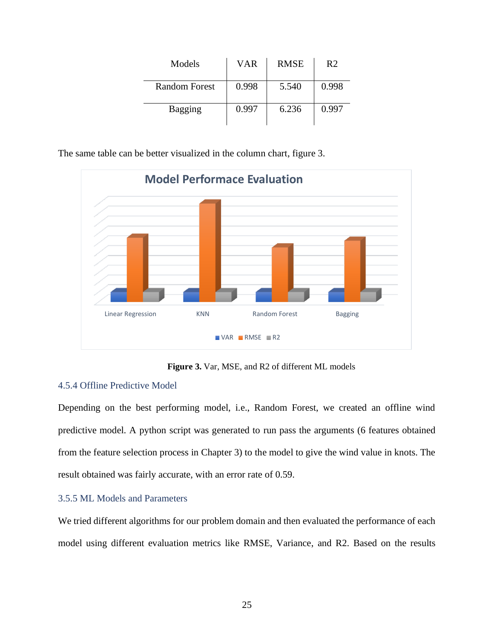| Models         | VAR   | <b>RMSE</b> | R <sub>2</sub> |
|----------------|-------|-------------|----------------|
| Random Forest  | 0.998 | 5.540       | 0.998          |
| <b>Bagging</b> | 0.997 | 6.236       | 0.997          |

The same table can be better visualized in the column chart, figure 3.



**Figure 3.** Var, MSE, and R2 of different ML models

### <span id="page-31-2"></span><span id="page-31-0"></span>4.5.4 Offline Predictive Model

Depending on the best performing model, i.e., Random Forest, we created an offline wind predictive model. A python script was generated to run pass the arguments (6 features obtained from the feature selection process in Chapter 3) to the model to give the wind value in knots. The result obtained was fairly accurate, with an error rate of 0.59.

### <span id="page-31-1"></span>3.5.5 ML Models and Parameters

We tried different algorithms for our problem domain and then evaluated the performance of each model using different evaluation metrics like RMSE, Variance, and R2. Based on the results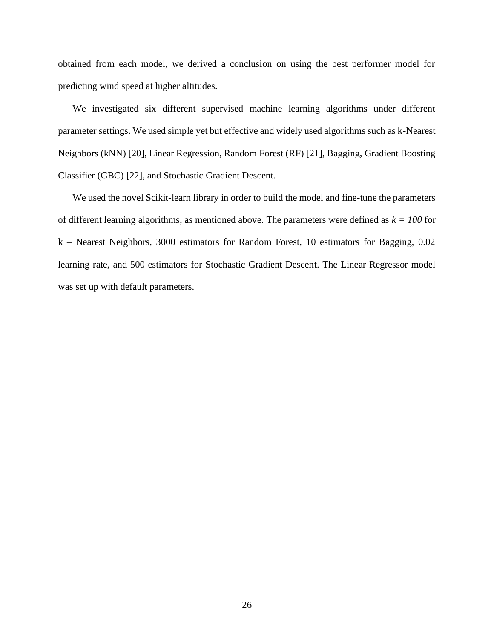obtained from each model, we derived a conclusion on using the best performer model for predicting wind speed at higher altitudes.

We investigated six different supervised machine learning algorithms under different parameter settings. We used simple yet but effective and widely used algorithms such as k-Nearest Neighbors (kNN) [20], Linear Regression, Random Forest (RF) [21], Bagging, Gradient Boosting Classifier (GBC) [22], and Stochastic Gradient Descent.

We used the novel Scikit-learn library in order to build the model and fine-tune the parameters of different learning algorithms, as mentioned above. The parameters were defined as  $k = 100$  for k – Nearest Neighbors, 3000 estimators for Random Forest, 10 estimators for Bagging, 0.02 learning rate, and 500 estimators for Stochastic Gradient Descent. The Linear Regressor model was set up with default parameters.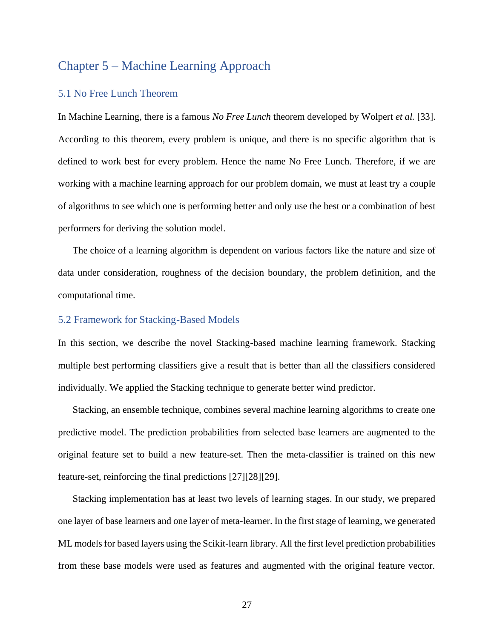# <span id="page-33-0"></span>Chapter 5 – Machine Learning Approach

#### <span id="page-33-1"></span>5.1 No Free Lunch Theorem

In Machine Learning, there is a famous *No Free Lunch* theorem developed by Wolpert *et al.* [33]. According to this theorem, every problem is unique, and there is no specific algorithm that is defined to work best for every problem. Hence the name No Free Lunch. Therefore, if we are working with a machine learning approach for our problem domain, we must at least try a couple of algorithms to see which one is performing better and only use the best or a combination of best performers for deriving the solution model.

The choice of a learning algorithm is dependent on various factors like the nature and size of data under consideration, roughness of the decision boundary, the problem definition, and the computational time.

#### <span id="page-33-2"></span>5.2 Framework for Stacking-Based Models

In this section, we describe the novel Stacking-based machine learning framework. Stacking multiple best performing classifiers give a result that is better than all the classifiers considered individually. We applied the Stacking technique to generate better wind predictor.

Stacking, an ensemble technique, combines several machine learning algorithms to create one predictive model. The prediction probabilities from selected base learners are augmented to the original feature set to build a new feature-set. Then the meta-classifier is trained on this new feature-set, reinforcing the final predictions [27][28][29].

Stacking implementation has at least two levels of learning stages. In our study, we prepared one layer of base learners and one layer of meta-learner. In the first stage of learning, we generated ML models for based layers using the Scikit-learn library. All the first level prediction probabilities from these base models were used as features and augmented with the original feature vector.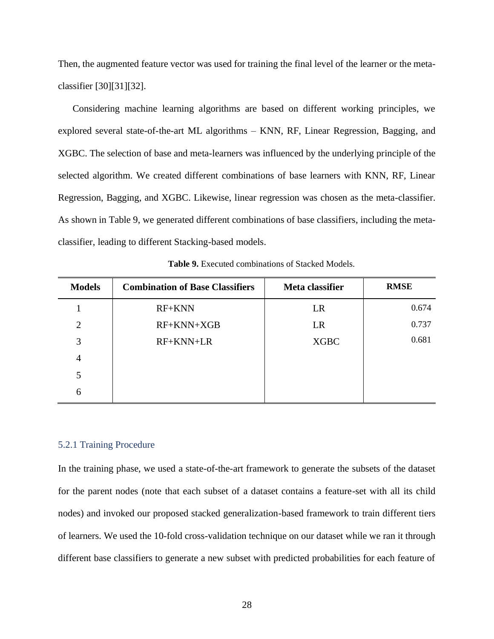Then, the augmented feature vector was used for training the final level of the learner or the metaclassifier [30][31][32].

Considering machine learning algorithms are based on different working principles, we explored several state-of-the-art ML algorithms – KNN, RF, Linear Regression, Bagging, and XGBC. The selection of base and meta-learners was influenced by the underlying principle of the selected algorithm. We created different combinations of base learners with KNN, RF, Linear Regression, Bagging, and XGBC. Likewise, linear regression was chosen as the meta-classifier. As shown in Table 9, we generated different combinations of base classifiers, including the metaclassifier, leading to different Stacking-based models*.*

<span id="page-34-1"></span>

| <b>Models</b>  | <b>Combination of Base Classifiers</b> | Meta classifier | <b>RMSE</b> |
|----------------|----------------------------------------|-----------------|-------------|
|                | RF+KNN                                 | LR              | 0.674       |
| $\overline{2}$ | RF+KNN+XGB                             | LR              | 0.737       |
| 3              | $RF+KNN+LR$                            | <b>XGBC</b>     | 0.681       |
| 4              |                                        |                 |             |
|                |                                        |                 |             |
| 6              |                                        |                 |             |

**Table 9.** Executed combinations of Stacked Models.

#### <span id="page-34-0"></span>5.2.1 Training Procedure

In the training phase, we used a state-of-the-art framework to generate the subsets of the dataset for the parent nodes (note that each subset of a dataset contains a feature-set with all its child nodes) and invoked our proposed stacked generalization-based framework to train different tiers of learners. We used the 10-fold cross-validation technique on our dataset while we ran it through different base classifiers to generate a new subset with predicted probabilities for each feature of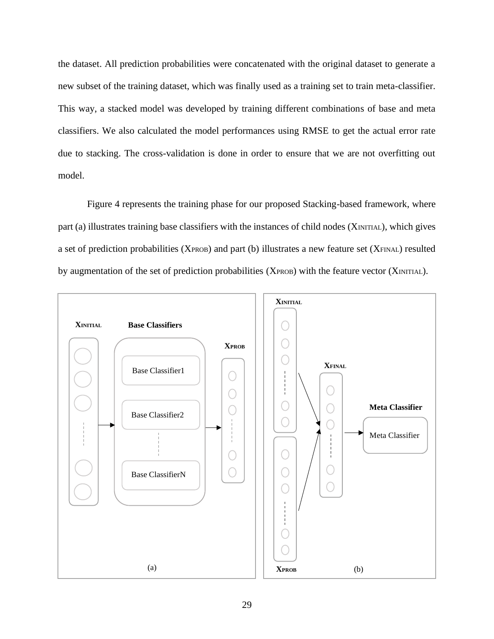the dataset. All prediction probabilities were concatenated with the original dataset to generate a new subset of the training dataset, which was finally used as a training set to train meta-classifier. This way, a stacked model was developed by training different combinations of base and meta classifiers. We also calculated the model performances using RMSE to get the actual error rate due to stacking. The cross-validation is done in order to ensure that we are not overfitting out model.

Figure 4 represents the training phase for our proposed Stacking-based framework, where part (a) illustrates training base classifiers with the instances of child nodes (XINITIAL), which gives a set of prediction probabilities (XPROB) and part (b) illustrates a new feature set (XFINAL) resulted by augmentation of the set of prediction probabilities (XPROB) with the feature vector (XINITIAL).

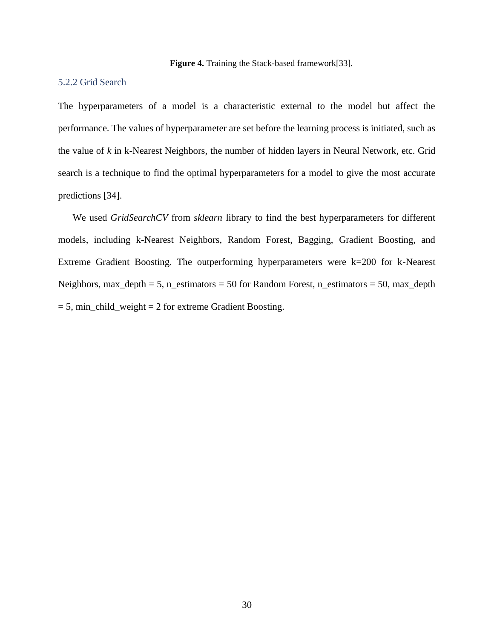**Figure 4.** Training the Stack-based framework[33].

#### <span id="page-36-1"></span><span id="page-36-0"></span>5.2.2 Grid Search

The hyperparameters of a model is a characteristic external to the model but affect the performance. The values of hyperparameter are set before the learning process is initiated, such as the value of *k* in k-Nearest Neighbors, the number of hidden layers in Neural Network, etc. Grid search is a technique to find the optimal hyperparameters for a model to give the most accurate predictions [34].

We used *GridSearchCV* from *sklearn* library to find the best hyperparameters for different models, including k-Nearest Neighbors, Random Forest, Bagging, Gradient Boosting, and Extreme Gradient Boosting. The outperforming hyperparameters were k=200 for k-Nearest Neighbors, max\_depth = 5, n\_estimators = 50 for Random Forest, n\_estimators = 50, max\_depth  $= 5$ , min child weight  $= 2$  for extreme Gradient Boosting.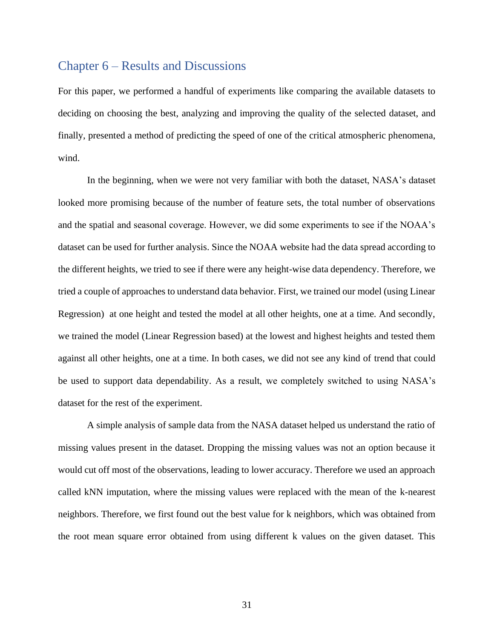### <span id="page-37-0"></span>Chapter 6 – Results and Discussions

For this paper, we performed a handful of experiments like comparing the available datasets to deciding on choosing the best, analyzing and improving the quality of the selected dataset, and finally, presented a method of predicting the speed of one of the critical atmospheric phenomena, wind.

In the beginning, when we were not very familiar with both the dataset, NASA's dataset looked more promising because of the number of feature sets, the total number of observations and the spatial and seasonal coverage. However, we did some experiments to see if the NOAA's dataset can be used for further analysis. Since the NOAA website had the data spread according to the different heights, we tried to see if there were any height-wise data dependency. Therefore, we tried a couple of approaches to understand data behavior. First, we trained our model (using Linear Regression) at one height and tested the model at all other heights, one at a time. And secondly, we trained the model (Linear Regression based) at the lowest and highest heights and tested them against all other heights, one at a time. In both cases, we did not see any kind of trend that could be used to support data dependability. As a result, we completely switched to using NASA's dataset for the rest of the experiment.

A simple analysis of sample data from the NASA dataset helped us understand the ratio of missing values present in the dataset. Dropping the missing values was not an option because it would cut off most of the observations, leading to lower accuracy. Therefore we used an approach called kNN imputation, where the missing values were replaced with the mean of the k-nearest neighbors. Therefore, we first found out the best value for k neighbors, which was obtained from the root mean square error obtained from using different k values on the given dataset. This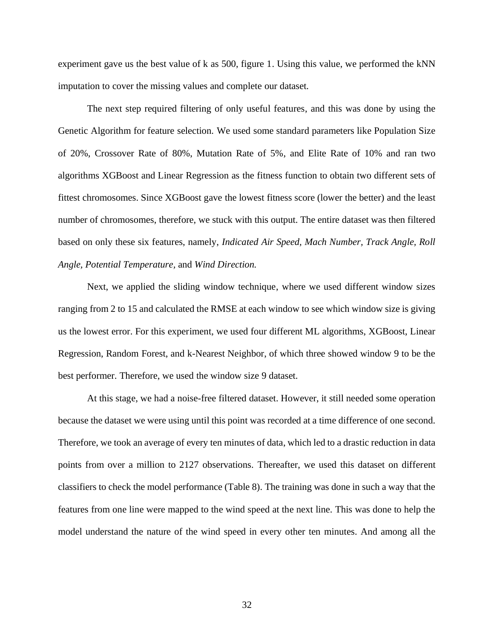experiment gave us the best value of k as 500, figure 1. Using this value, we performed the kNN imputation to cover the missing values and complete our dataset.

The next step required filtering of only useful features, and this was done by using the Genetic Algorithm for feature selection. We used some standard parameters like Population Size of 20%, Crossover Rate of 80%, Mutation Rate of 5%, and Elite Rate of 10% and ran two algorithms XGBoost and Linear Regression as the fitness function to obtain two different sets of fittest chromosomes. Since XGBoost gave the lowest fitness score (lower the better) and the least number of chromosomes, therefore, we stuck with this output. The entire dataset was then filtered based on only these six features, namely, *Indicated Air Speed, Mach Number, Track Angle, Roll Angle, Potential Temperature,* and *Wind Direction.*

Next, we applied the sliding window technique, where we used different window sizes ranging from 2 to 15 and calculated the RMSE at each window to see which window size is giving us the lowest error. For this experiment, we used four different ML algorithms, XGBoost, Linear Regression, Random Forest, and k-Nearest Neighbor, of which three showed window 9 to be the best performer. Therefore, we used the window size 9 dataset.

At this stage, we had a noise-free filtered dataset. However, it still needed some operation because the dataset we were using until this point was recorded at a time difference of one second. Therefore, we took an average of every ten minutes of data, which led to a drastic reduction in data points from over a million to 2127 observations. Thereafter, we used this dataset on different classifiers to check the model performance (Table 8). The training was done in such a way that the features from one line were mapped to the wind speed at the next line. This was done to help the model understand the nature of the wind speed in every other ten minutes. And among all the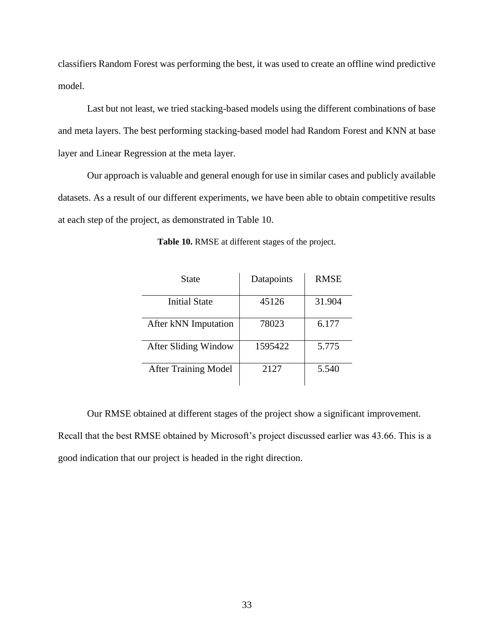classifiers Random Forest was performing the best, it was used to create an offline wind predictive model.

Last but not least, we tried stacking-based models using the different combinations of base and meta layers. The best performing stacking-based model had Random Forest and KNN at base layer and Linear Regression at the meta layer.

<span id="page-39-0"></span>Our approach is valuable and general enough for use in similar cases and publicly available datasets. As a result of our different experiments, we have been able to obtain competitive results at each step of the project, as demonstrated in Table 10.

| State                       | Datapoints | <b>RMSE</b> |
|-----------------------------|------------|-------------|
| <b>Initial State</b>        | 45126      | 31.904      |
| After kNN Imputation        | 78023      | 6.177       |
| After Sliding Window        | 1595422    | 5.775       |
| <b>After Training Model</b> | 2127       | 5.540       |

**Table 10.** RMSE at different stages of the project.

Our RMSE obtained at different stages of the project show a significant improvement. Recall that the best RMSE obtained by Microsoft's project discussed earlier was 43.66. This is a good indication that our project is headed in the right direction.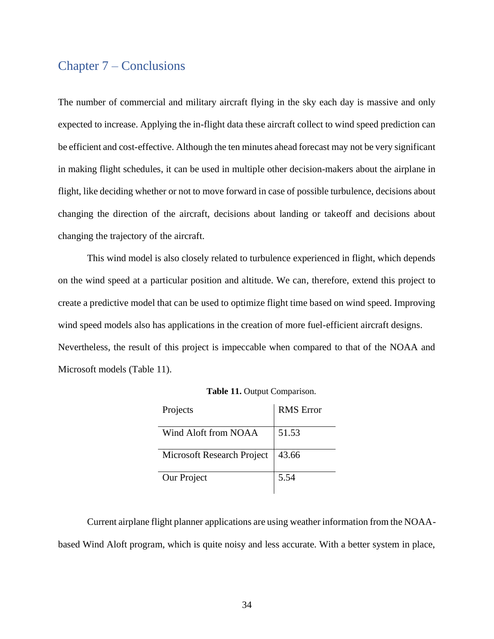# <span id="page-40-0"></span>Chapter 7 – Conclusions

The number of commercial and military aircraft flying in the sky each day is massive and only expected to increase. Applying the in-flight data these aircraft collect to wind speed prediction can be efficient and cost-effective. Although the ten minutes ahead forecast may not be very significant in making flight schedules, it can be used in multiple other decision-makers about the airplane in flight, like deciding whether or not to move forward in case of possible turbulence, decisions about changing the direction of the aircraft, decisions about landing or takeoff and decisions about changing the trajectory of the aircraft.

This wind model is also closely related to turbulence experienced in flight, which depends on the wind speed at a particular position and altitude. We can, therefore, extend this project to create a predictive model that can be used to optimize flight time based on wind speed. Improving wind speed models also has applications in the creation of more fuel-efficient aircraft designs. Nevertheless, the result of this project is impeccable when compared to that of the NOAA and Microsoft models (Table 11).

<span id="page-40-1"></span>

| Projects                   | <b>RMS</b> Error |
|----------------------------|------------------|
| Wind Aloft from NOAA       | 51.53            |
| Microsoft Research Project | 43.66            |
| Our Project                | 5.54             |

**Table 11.** Output Comparison.

Current airplane flight planner applications are using weather information from the NOAAbased Wind Aloft program, which is quite noisy and less accurate. With a better system in place,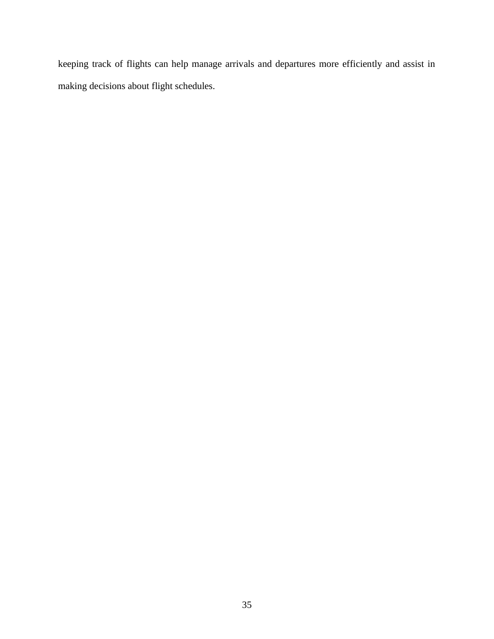keeping track of flights can help manage arrivals and departures more efficiently and assist in making decisions about flight schedules.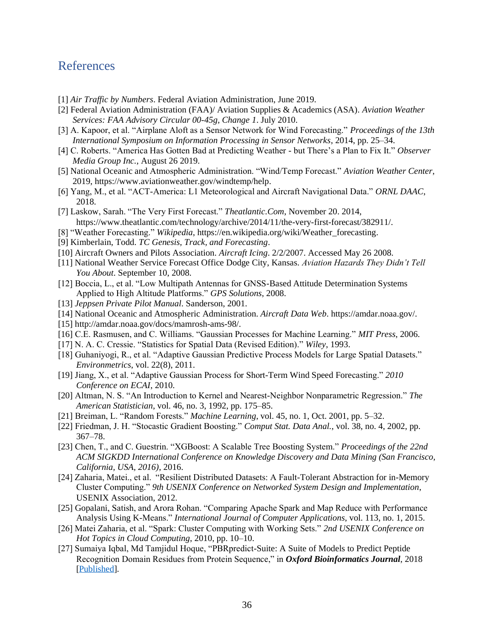# <span id="page-42-0"></span>References

- [1] *Air Traffic by Numbers*. Federal Aviation Administration, June 2019.
- [2] Federal Aviation Administration (FAA)/ Aviation Supplies & Academics (ASA). *Aviation Weather Services: FAA Advisory Circular 00-45g, Change 1*. July 2010.
- [3] A. Kapoor, et al. "Airplane Aloft as a Sensor Network for Wind Forecasting." *Proceedings of the 13th International Symposium on Information Processing in Sensor Networks*, 2014, pp. 25–34.
- [4] C. Roberts. "America Has Gotten Bad at Predicting Weather but There's a Plan to Fix It." *Observer Media Group Inc.*, August 26 2019.
- [5] National Oceanic and Atmospheric Administration. "Wind/Temp Forecast." *Aviation Weather Center*, 2019, https://www.aviationweather.gov/windtemp/help.
- [6] Yang, M., et al. "ACT-America: L1 Meteorological and Aircraft Navigational Data." *ORNL DAAC*, 2018.
- [7] Laskow, Sarah. "The Very First Forecast." *Theatlantic.Com*, November 20. 2014, https://www.theatlantic.com/technology/archive/2014/11/the-very-first-forecast/382911/.
- [8] "Weather Forecasting." *Wikipedia*, https://en.wikipedia.org/wiki/Weather\_forecasting.
- [9] Kimberlain, Todd. *TC Genesis, Track, and Forecasting*.
- [10] Aircraft Owners and Pilots Association. *Aircraft Icing*. 2/2/2007. Accessed May 26 2008.
- [11] National Weather Service Forecast Office Dodge City, Kansas. *Aviation Hazards They Didn't Tell You About*. September 10, 2008.
- [12] Boccia, L., et al. "Low Multipath Antennas for GNSS-Based Attitude Determination Systems Applied to High Altitude Platforms." *GPS Solutions*, 2008.
- [13] *Jeppsen Private Pilot Manual*. Sanderson, 2001.
- [14] National Oceanic and Atmospheric Administration. *Aircraft Data Web*. https://amdar.noaa.gov/.
- [15] http://amdar.noaa.gov/docs/mamrosh-ams-98/.
- [16] C.E. Rasmusen, and C. Williams. "Gaussian Processes for Machine Learning." *MIT Press*, 2006.
- [17] N. A. C. Cressie. "Statistics for Spatial Data (Revised Edition)." *Wiley*, 1993.
- [18] Guhaniyogi, R., et al. "Adaptive Gaussian Predictive Process Models for Large Spatial Datasets." *Environmetrics*, vol. 22(8), 2011.
- [19] Jiang, X., et al. "Adaptive Gaussian Process for Short-Term Wind Speed Forecasting." *2010 Conference on ECAI*, 2010.
- [20] Altman, N. S. "An Introduction to Kernel and Nearest-Neighbor Nonparametric Regression." *The American Statistician*, vol. 46, no. 3, 1992, pp. 175–85.
- [21] Breiman, L. "Random Forests." *Machine Learning*, vol. 45, no. 1, Oct. 2001, pp. 5–32.
- [22] Friedman, J. H. "Stocastic Gradient Boosting." *Comput Stat. Data Anal.*, vol. 38, no. 4, 2002, pp. 367–78.
- [23] Chen, T., and C. Guestrin. "XGBoost: A Scalable Tree Boosting System." *Proceedings of the 22nd ACM SIGKDD International Conference on Knowledge Discovery and Data Mining (San Francisco, California, USA, 2016)*, 2016.
- [24] Zaharia, Matei., et al. "Resilient Distributed Datasets: A Fault-Tolerant Abstraction for in-Memory Cluster Computing." *9th USENIX Conference on Networked System Design and Implementation*, USENIX Association, 2012.
- [25] Gopalani, Satish, and Arora Rohan. "Comparing Apache Spark and Map Reduce with Performance Analysis Using K-Means." *International Journal of Computer Applications*, vol. 113, no. 1, 2015.
- [26] Matei Zaharia, et al. "Spark: Cluster Computing with Working Sets." *2nd USENIX Conference on Hot Topics in Cloud Computing*, 2010, pp. 10–10.
- [27] Sumaiya Iqbal, Md Tamjidul Hoque, "PBRpredict-Suite: A Suite of Models to Predict Peptide Recognition Domain Residues from Protein Sequence," in *Oxford Bioinformatics Journal*, 2018 [\[Published\]](https://doi.org/10.1093/bioinformatics/bty352).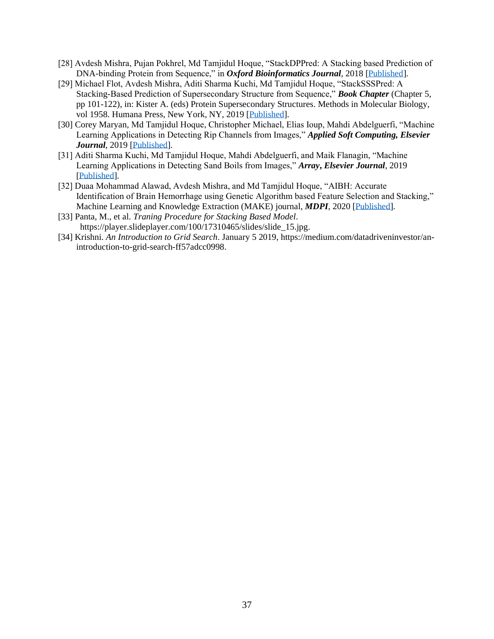- [28] Avdesh Mishra, Pujan Pokhrel, Md Tamjidul Hoque, "StackDPPred: A Stacking based Prediction of DNA-binding Protein from Sequence," in *Oxford Bioinformatics Journal*, 2018 [\[Published\]](https://doi.org/10.1093/bioinformatics/bty653).
- [29] Michael Flot, Avdesh Mishra, Aditi Sharma Kuchi, Md Tamjidul Hoque, "StackSSSPred: A Stacking-Based Prediction of Supersecondary Structure from Sequence," *Book Chapter* (Chapter 5, pp 101-122), in: Kister A. (eds) Protein Supersecondary Structures. Methods in Molecular Biology, vol 1958. Humana Press, New York, NY, 2019 [\[Published\]](https://link.springer.com/protocol/10.1007%2F978-1-4939-9161-7_5).
- [30] Corey Maryan, Md Tamjidul Hoque, Christopher Michael, Elias Ioup, Mahdi Abdelguerfi, "Machine Learning Applications in Detecting Rip Channels from Images," *Applied Soft Computing, Elsevier Journal*, 2019 [\[Published\]](https://www.sciencedirect.com/science/article/pii/S1568494619300778).
- [31] Aditi Sharma Kuchi, Md Tamjidul Hoque, Mahdi Abdelguerfi, and Maik Flanagin, "Machine Learning Applications in Detecting Sand Boils from Images," *Array***,** *Elsevier Journal*, 2019 [\[Published\]](https://doi.org/10.1016/j.array.2019.100012).
- [32] Duaa Mohammad Alawad, Avdesh Mishra, and Md Tamjidul Hoque, "AIBH: Accurate Identification of Brain Hemorrhage using Genetic Algorithm based Feature Selection and Stacking," Machine Learning and Knowledge Extraction (MAKE) journal, *MDPI*, 2020 [\[Published\]](https://www.mdpi.com/2504-4990/2/2/5).
- [33] Panta, M., et al. *Traning Procedure for Stacking Based Model*. https://player.slideplayer.com/100/17310465/slides/slide\_15.jpg.
- [34] Krishni. *An Introduction to Grid Search*. January 5 2019, https://medium.com/datadriveninvestor/anintroduction-to-grid-search-ff57adcc0998.